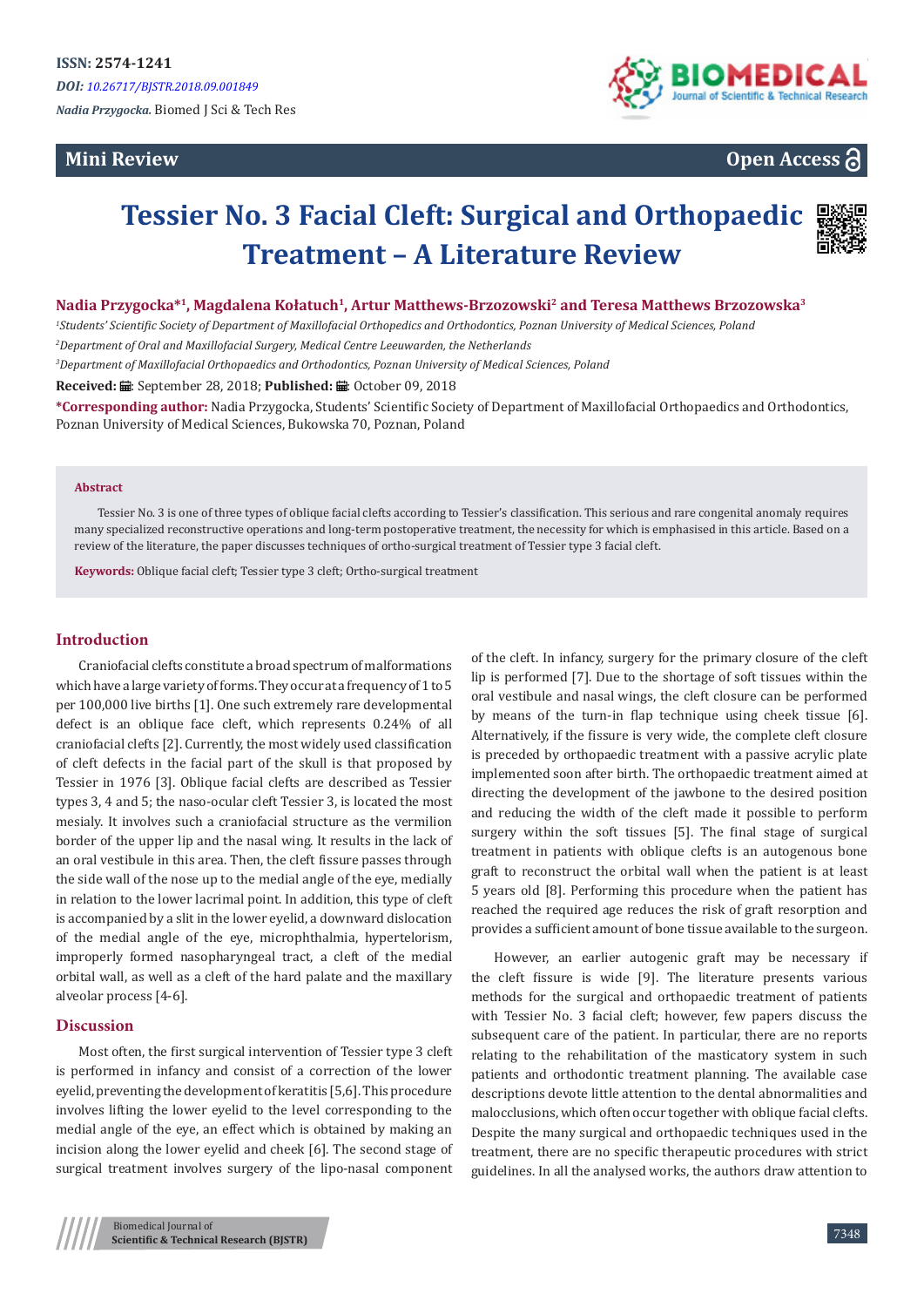# **Mini Review**



**Open Access**

# **Tessier No. 3 Facial Cleft: Surgical and Orthopaedic Treatment – A Literature Review**



### **Nadia Przygocka\*<sup>1</sup>, Magdalena Kołatuch<sup>1</sup>, Artur Matthews-Brzozowski<sup>2</sup> and Teresa Matthews Brzozowska3**

*1 Students' Scientific Society of Department of Maxillofacial Orthopedics and Orthodontics, Poznan University of Medical Sciences, Poland*

*2 Department of Oral and Maxillofacial Surgery, Medical Centre Leeuwarden, the Netherlands*

*3 Department of Maxillofacial Orthopaedics and Orthodontics, Poznan University of Medical Sciences, Poland*

Received: *:* .: September 28, 2018; Published: .: **::** October 09, 2018

**\*Corresponding author:** Nadia Przygocka, Students' Scientific Society of Department of Maxillofacial Orthopaedics and Orthodontics, Poznan University of Medical Sciences, Bukowska 70, Poznan, Poland

#### **Abstract**

Tessier No. 3 is one of three types of oblique facial clefts according to Tessier's classification. This serious and rare congenital anomaly requires many specialized reconstructive operations and long-term postoperative treatment, the necessity for which is emphasised in this article. Based on a review of the literature, the paper discusses techniques of ortho-surgical treatment of Tessier type 3 facial cleft.

**Keywords:** Oblique facial cleft; Tessier type 3 cleft; Ortho-surgical treatment

#### **Introduction**

Craniofacial clefts constitute a broad spectrum of malformations which have a large variety of forms. They occur at a frequency of 1 to 5 per 100,000 live births [1]. One such extremely rare developmental defect is an oblique face cleft, which represents 0.24% of all craniofacial clefts [2]. Currently, the most widely used classification of cleft defects in the facial part of the skull is that proposed by Tessier in 1976 [3]. Oblique facial clefts are described as Tessier types 3, 4 and 5; the naso-ocular cleft Tessier 3, is located the most mesialy. It involves such a craniofacial structure as the vermilion border of the upper lip and the nasal wing. It results in the lack of an oral vestibule in this area. Then, the cleft fissure passes through the side wall of the nose up to the medial angle of the eye, medially in relation to the lower lacrimal point. In addition, this type of cleft is accompanied by a slit in the lower eyelid, a downward dislocation of the medial angle of the eye, microphthalmia, hypertelorism, improperly formed nasopharyngeal tract, a cleft of the medial orbital wall, as well as a cleft of the hard palate and the maxillary alveolar process [4-6].

#### **Discussion**

Most often, the first surgical intervention of Tessier type 3 cleft is performed in infancy and consist of a correction of the lower eyelid, preventing the development of keratitis [5,6]. This procedure involves lifting the lower eyelid to the level corresponding to the medial angle of the eye, an effect which is obtained by making an incision along the lower eyelid and cheek [6]. The second stage of surgical treatment involves surgery of the lipo-nasal component of the cleft. In infancy, surgery for the primary closure of the cleft lip is performed [7]. Due to the shortage of soft tissues within the oral vestibule and nasal wings, the cleft closure can be performed by means of the turn-in flap technique using cheek tissue [6]. Alternatively, if the fissure is very wide, the complete cleft closure is preceded by orthopaedic treatment with a passive acrylic plate implemented soon after birth. The orthopaedic treatment aimed at directing the development of the jawbone to the desired position and reducing the width of the cleft made it possible to perform surgery within the soft tissues [5]. The final stage of surgical treatment in patients with oblique clefts is an autogenous bone graft to reconstruct the orbital wall when the patient is at least 5 years old [8]. Performing this procedure when the patient has reached the required age reduces the risk of graft resorption and provides a sufficient amount of bone tissue available to the surgeon.

However, an earlier autogenic graft may be necessary if the cleft fissure is wide [9]. The literature presents various methods for the surgical and orthopaedic treatment of patients with Tessier No. 3 facial cleft; however, few papers discuss the subsequent care of the patient. In particular, there are no reports relating to the rehabilitation of the masticatory system in such patients and orthodontic treatment planning. The available case descriptions devote little attention to the dental abnormalities and malocclusions, which often occur together with oblique facial clefts. Despite the many surgical and orthopaedic techniques used in the treatment, there are no specific therapeutic procedures with strict guidelines. In all the analysed works, the authors draw attention to